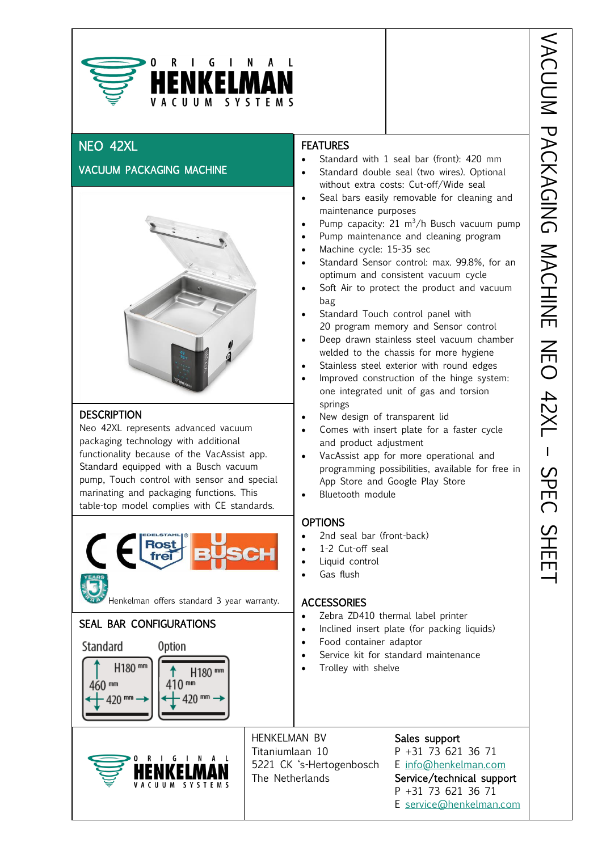

## NEO 42XL

ł

## VACUUM PACKAGING MACHINE



## **DESCRIPTION**

Neo 42XL represents advanced vacuum packaging technology with additional functionality because of the VacAssist app. Standard equipped with a Busch vacuum pump, Touch control with sensor and special marinating and packaging functions. This table-top model complies with CE standards.



Henkelman offers standard 3 year warranty.

#### SEAL BAR CONFIGURATIONS







## **FEATURES**

- Standard with 1 seal bar (front): 420 mm
- Standard double seal (two wires). Optional without extra costs: Cut-off/Wide seal
- Seal bars easily removable for cleaning and maintenance purposes
- Pump capacity: 21 m<sup>3</sup>/h Busch vacuum pump
- Pump maintenance and cleaning program
- Machine cycle: 15-35 sec
- Standard Sensor control: max. 99.8%, for an optimum and consistent vacuum cycle
- Soft Air to protect the product and vacuum bag
- Standard Touch control panel with 20 program memory and Sensor control
- Deep drawn stainless steel vacuum chamber welded to the chassis for more hygiene
- Stainless steel exterior with round edges
- Improved construction of the hinge system: one integrated unit of gas and torsion springs
- New design of transparent lid
- Comes with insert plate for a faster cycle and product adjustment
- VacAssist app for more operational and programming possibilities, available for free in App Store and Google Play Store
- Bluetooth module

#### **OPTIONS**

- 2nd seal bar (front-back)
- 1-2 Cut-off seal
- Liquid control
- Gas flush

#### **ACCESSORIES**

- Zebra ZD410 thermal label printer
- Inclined insert plate (for packing liquids)
- Food container adaptor
- Service kit for standard maintenance
- Trolley with shelve

 $\overline{a}$ HENKELMAN BV Sales support Titaniumlaan 10 P +31 73 621 36 71 5221 CK 's-Hertogenbosch E [info@henkelman.com](mailto:info@henkelman.com) The Netherlands Service/technical support

P +31 73 621 36 71 E [service@henkelman.com](mailto:service@henkelman.com)